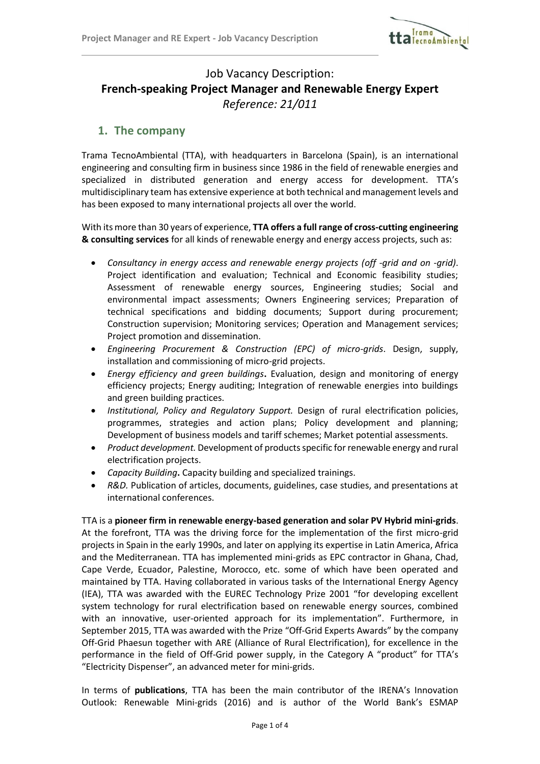

# Job Vacancy Description: **French-speaking Project Manager and Renewable Energy Expert** *Reference: 21/011*

### **1. The company**

Trama TecnoAmbiental (TTA), with headquarters in Barcelona (Spain), is an international engineering and consulting firm in business since 1986 in the field of renewable energies and specialized in distributed generation and energy access for development. TTA's multidisciplinary team has extensive experience at both technical and management levels and has been exposed to many international projects all over the world.

With its more than 30 years of experience, **TTA offers a full range of cross-cutting engineering & consulting services** for all kinds of renewable energy and energy access projects, such as:

- *Consultancy in energy access and renewable energy projects (off -grid and on -grid)*. Project identification and evaluation; Technical and Economic feasibility studies; Assessment of renewable energy sources, Engineering studies; Social and environmental impact assessments; Owners Engineering services; Preparation of technical specifications and bidding documents; Support during procurement; Construction supervision; Monitoring services; Operation and Management services; Project promotion and dissemination.
- *Engineering Procurement & Construction (EPC) of micro-grids*. Design, supply, installation and commissioning of micro-grid projects.
- *Energy efficiency and green buildings***.** Evaluation, design and monitoring of energy efficiency projects; Energy auditing; Integration of renewable energies into buildings and green building practices.
- *Institutional, Policy and Regulatory Support.* Design of rural electrification policies, programmes, strategies and action plans; Policy development and planning; Development of business models and tariff schemes; Market potential assessments.
- *Product development.* Development of products specific for renewable energy and rural electrification projects.
- *Capacity Building***.** Capacity building and specialized trainings.
- *R&D.* Publication of articles, documents, guidelines, case studies, and presentations at international conferences.

TTA is a **pioneer firm in renewable energy-based generation and solar PV Hybrid mini-grids**. At the forefront, TTA was the driving force for the implementation of the first micro-grid projects in Spain in the early 1990s, and later on applying its expertise in Latin America, Africa and the Mediterranean. TTA has implemented mini-grids as EPC contractor in Ghana, Chad, Cape Verde, Ecuador, Palestine, Morocco, etc. some of which have been operated and maintained by TTA. Having collaborated in various tasks of the International Energy Agency (IEA), TTA was awarded with the EUREC Technology Prize 2001 "for developing excellent system technology for rural electrification based on renewable energy sources, combined with an innovative, user-oriented approach for its implementation". Furthermore, in September 2015, TTA was awarded with the Prize "Off-Grid Experts Awards" by the company Off-Grid Phaesun together with ARE (Alliance of Rural Electrification), for excellence in the performance in the field of Off-Grid power supply, in the Category A "product" for TTA's "Electricity Dispenser", an advanced meter for mini-grids.

In terms of **publications**, TTA has been the main contributor of the IRENA's Innovation Outlook: Renewable Mini-grids (2016) and is author of the World Bank's ESMAP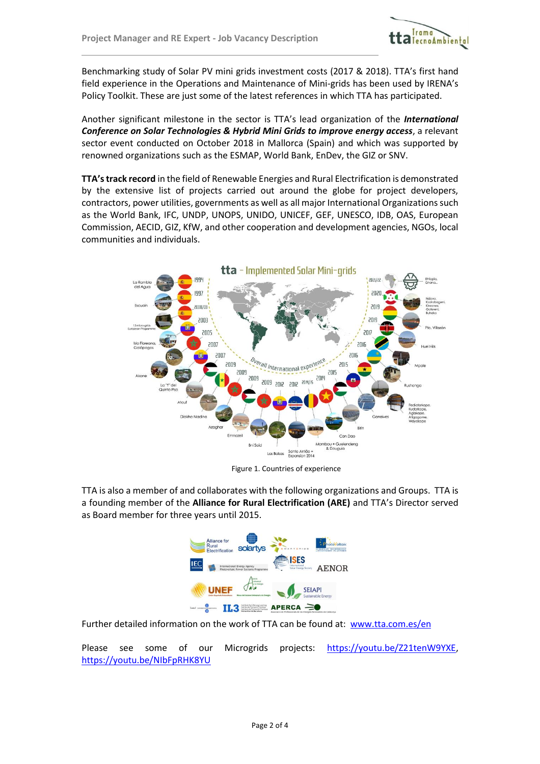

Benchmarking study of Solar PV mini grids investment costs (2017 & 2018). TTA's first hand field experience in the Operations and Maintenance of Mini-grids has been used by IRENA's Policy Toolkit. These are just some of the latest references in which TTA has participated.

Another significant milestone in the sector is TTA's lead organization of the *International Conference on Solar Technologies & Hybrid Mini Grids to improve energy access*, a relevant sector event conducted on October 2018 in Mallorca (Spain) and which was supported by renowned organizations such as the ESMAP, World Bank, EnDev, the GIZ or SNV.

**TTA'strack record** in the field of Renewable Energies and Rural Electrification is demonstrated by the extensive list of projects carried out around the globe for project developers, contractors, power utilities, governments as well as all major International Organizations such as the World Bank, IFC, UNDP, UNOPS, UNIDO, UNICEF, GEF, UNESCO, IDB, OAS, European Commission, AECID, GIZ, KfW, and other cooperation and development agencies, NGOs, local communities and individuals.



Figure 1. Countries of experience

TTA is also a member of and collaborates with the following organizations and Groups. TTA is a founding member of the **Alliance for Rural Electrification (ARE)** and TTA's Director served as Board member for three years until 2015.



Further detailed information on the work of TTA can be found at: [www.tta.com.es/en](http://www.tta.com.es/en)

Please see some of our Microgrids projects: [https://youtu.be/Z21tenW9YXE,](https://youtu.be/Z21tenW9YXE) <https://youtu.be/NIbFpRHK8YU>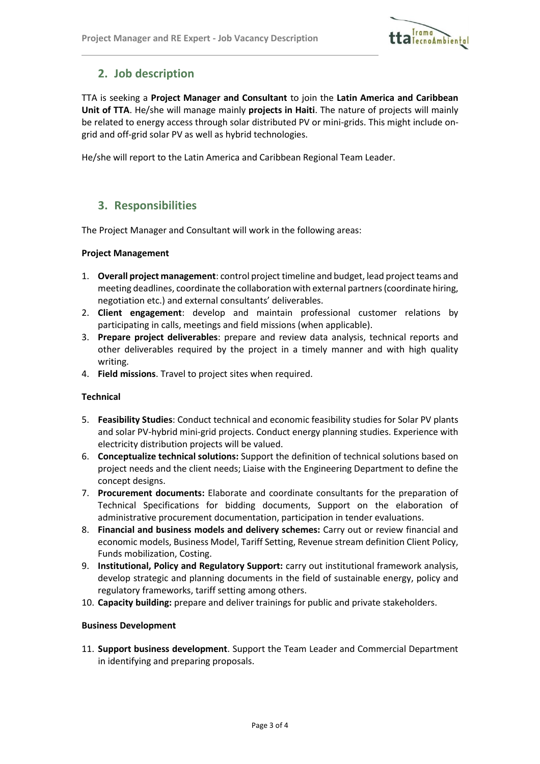

# **2. Job description**

TTA is seeking a **Project Manager and Consultant** to join the **Latin America and Caribbean Unit of TTA**. He/she will manage mainly **projects in Haiti**. The nature of projects will mainly be related to energy access through solar distributed PV or mini-grids. This might include ongrid and off-grid solar PV as well as hybrid technologies.

He/she will report to the Latin America and Caribbean Regional Team Leader.

## **3. Responsibilities**

The Project Manager and Consultant will work in the following areas:

#### **Project Management**

- 1. **Overall project management**: control project timeline and budget, lead project teams and meeting deadlines, coordinate the collaboration with external partners (coordinate hiring, negotiation etc.) and external consultants' deliverables.
- 2. **Client engagement**: develop and maintain professional customer relations by participating in calls, meetings and field missions (when applicable).
- 3. **Prepare project deliverables**: prepare and review data analysis, technical reports and other deliverables required by the project in a timely manner and with high quality writing.
- 4. **Field missions**. Travel to project sites when required.

#### **Technical**

- 5. **Feasibility Studies**: Conduct technical and economic feasibility studies for Solar PV plants and solar PV-hybrid mini-grid projects. Conduct energy planning studies. Experience with electricity distribution projects will be valued.
- 6. **Conceptualize technical solutions:** Support the definition of technical solutions based on project needs and the client needs; Liaise with the Engineering Department to define the concept designs.
- 7. **Procurement documents:** Elaborate and coordinate consultants for the preparation of Technical Specifications for bidding documents, Support on the elaboration of administrative procurement documentation, participation in tender evaluations.
- 8. **Financial and business models and delivery schemes:** Carry out or review financial and economic models, Business Model, Tariff Setting, Revenue stream definition Client Policy, Funds mobilization, Costing.
- 9. **Institutional, Policy and Regulatory Support:** carry out institutional framework analysis, develop strategic and planning documents in the field of sustainable energy, policy and regulatory frameworks, tariff setting among others.
- 10. **Capacity building:** prepare and deliver trainings for public and private stakeholders.

#### **Business Development**

11. **Support business development**. Support the Team Leader and Commercial Department in identifying and preparing proposals.